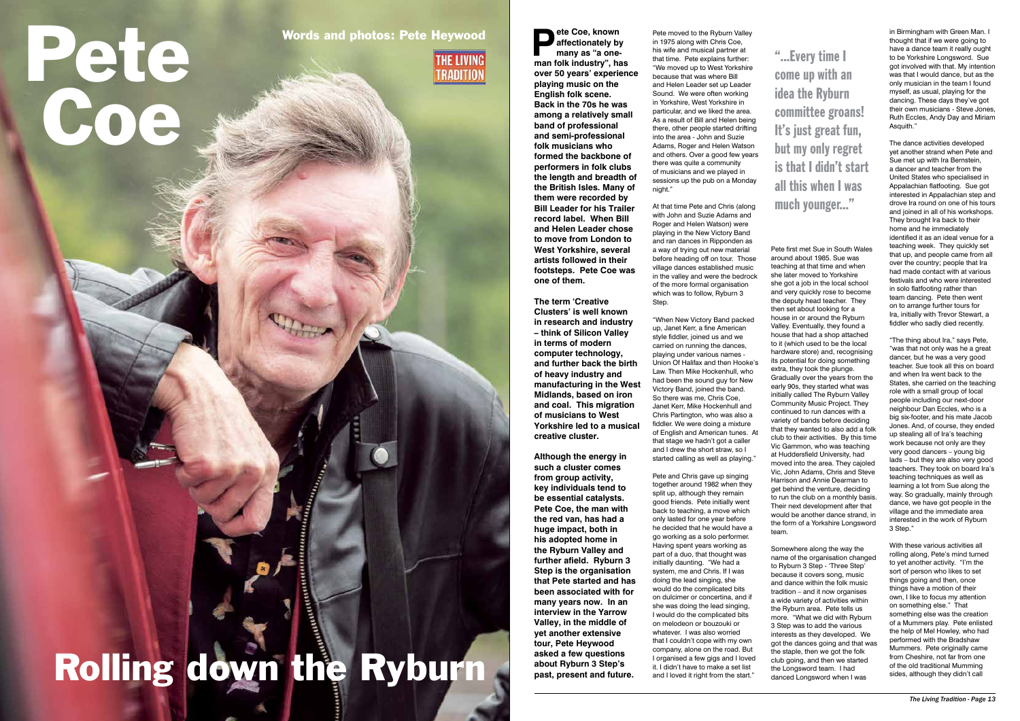## Pete Coe

Words and photos: Pete Heywood Pete Coe, known Pete moved to the Ryburn Valley

**THE LIVING TRADITION** 

## Rolling down the Ryburn

in 1975 along with Chris Coe, his wife and musical partner at that time. Pete explains further: "We moved up to West Yorkshire because that was where Bill and Helen Leader set up Leader Sound. We were often working in Yorkshire, West Yorkshire in particular, and we liked the area. As a result of Bill and Helen being there, other people started drifting into the area - John and Suzie Adams, Roger and Helen Watson and others. Over a good few years there was quite a community of musicians and we played in sessions up the pub on a Monday night."

At that time Pete and Chris (along with John and Suzie Adams and Roger and Helen Watson) were playing in the New Victory Band and ran dances in Ripponden as a way of trying out new material before heading off on tour. Those village dances established music in the valley and were the bedrock of the more formal organisation which was to follow, Ryburn 3 Step.

Pete and Chris gave up singing together around 1982 when they split up, although they remain good friends. Pete initially went back to teaching, a move which only lasted for one year before he decided that he would have a go working as a solo performer. Having spent years working as part of a duo, that thought was initially daunting. "We had a system, me and Chris. If I was doing the lead singing, she would do the complicated bits on dulcimer or concertina, and if she was doing the lead singing, I would do the complicated bits on melodeon or bouzouki or whatever. I was also worried that I couldn't cope with my own company, alone on the road. But I organised a few gigs and I loved it. I didn't have to make a set list and I loved it right from the start."

"When New Victory Band packed up, Janet Kerr, a fine American style fiddler, joined us and we carried on running the dances, playing under various names - Union Of Halifax and then Hooke's Law. Then Mike Hockenhull, who had been the sound guy for New Victory Band, joined the band. So there was me, Chris Coe, Janet Kerr, Mike Hockenhull and Chris Partington, who was also a fiddler. We were doing a mixture of English and American tunes. At that stage we hadn't got a caller and I drew the short straw, so I started calling as well as playing."

Pete first met Sue in South Wales around about 1985. Sue was teaching at that time and when she later moved to Yorkshire she got a job in the local school and very quickly rose to become the deputy head teacher. They then set about looking for a house in or around the Ryburn Valley. Eventually, they found a house that had a shop attached to it (which used to be the local hardware store) and, recognising its potential for doing something extra, they took the plunge. Gradually over the years from the early 90s, they started what was initially called The Ryburn Valley Community Music Project. They continued to run dances with a variety of bands before deciding that they wanted to also add a folk club to their activities. By this time Vic Gammon, who was teaching at Huddersfield University, had moved into the area. They cajoled Vic, John Adams, Chris and Steve Harrison and Annie Dearman to get behind the venture, deciding to run the club on a monthly basis. Their next development after that would be another dance strand, in the form of a Yorkshire Longsword team.

**Pete Coe, known<br>
affectionately by<br>
many as "a one-<br>
man falk industry" be affectionately by man folk industry", has over 50 years' experience playing music on the English folk scene. Back in the 70s he was among a relatively small band of professional and semi-professional folk musicians who formed the backbone of performers in folk clubs the length and breadth of the British Isles. Many of them were recorded by Bill Leader for his Trailer record label. When Bill and Helen Leader chose to move from London to West Yorkshire, several artists followed in their footsteps. Pete Coe was one of them.** 

> Somewhere along the way the name of the organisation changed to Ryburn 3 Step - 'Three Step' because it covers song, music and dance within the folk music tradition – and it now organises a wide variety of activities within the Ryburn area. Pete tells us more. "What we did with Ryburn 3 Step was to add the various interests as they developed. We got the dances going and that was the staple, then we got the folk club going, and then we started the Longsword team. I had danced Longsword when I was

in Birmingham with Green Man. I thought that if we were going to have a dance team it really ought to be Yorkshire Longsword. Sue got involved with that. My intention was that I would dance, but as the only musician in the team I found myself, as usual, playing for the dancing. These days they've got their own musicians - Steve Jones, Ruth Eccles, Andy Day and Miriam Asquith."

The dance activities developed yet another strand when Pete and Sue met up with Ira Bernstein, a dancer and teacher from the United States who specialised in Appalachian flatfooting. Sue got interested in Appalachian step and drove Ira round on one of his tours and joined in all of his workshops. They brought Ira back to their home and he immediately identified it as an ideal venue for a teaching week. They quickly set that up, and people came from all over the country; people that Ira had made contact with at various festivals and who were interested in solo flatfooting rather than team dancing. Pete then went on to arrange further tours for Ira, initially with Trevor Stewart, a fiddler who sadly died recently.

"The thing about Ira," says Pete, "was that not only was he a great dancer, but he was a very good teacher. Sue took all this on board and when Ira went back to the States, she carried on the teaching role with a small group of local people including our next-door neighbour Dan Eccles, who is a big six-footer, and his mate Jacob Jones. And, of course, they ended up stealing all of Ira's teaching work because not only are they very good dancers – young big lads – but they are also very good teachers. They took on board Ira's teaching techniques as well as learning a lot from Sue along the way. So gradually, mainly through dance, we have got people in the village and the immediate area interested in the work of Ryburn 3 Step."

With these various activities all rolling along, Pete's mind turned to yet another activity. "I'm the sort of person who likes to set things going and then, once things have a motion of their own, I like to focus my attention on something else." That something else was the creation of a Mummers play. Pete enlisted the help of Mel Howley, who had performed with the Bradshaw Mummers. Pete originally came from Cheshire, not far from one of the old traditional Mumming sides, although they didn't call

"...Every time I come up with an idea the Ryburn committee groans! It's just great fun, but my only regret is that I didn't start all this when I was much younger..."

**The term 'Creative Clusters' is well known in research and industry – think of Silicon Valley in terms of modern computer technology, and further back the birth of heavy industry and manufacturing in the West Midlands, based on iron and coal. This migration of musicians to West Yorkshire led to a musical creative cluster.** 

**Although the energy in such a cluster comes from group activity, key individuals tend to be essential catalysts. Pete Coe, the man with the red van, has had a huge impact, both in his adopted home in the Ryburn Valley and further afield. Ryburn 3 Step is the organisation that Pete started and has been associated with for many years now. In an interview in the Yarrow Valley, in the middle of yet another extensive tour, Pete Heywood asked a few questions about Ryburn 3 Step's past, present and future.**